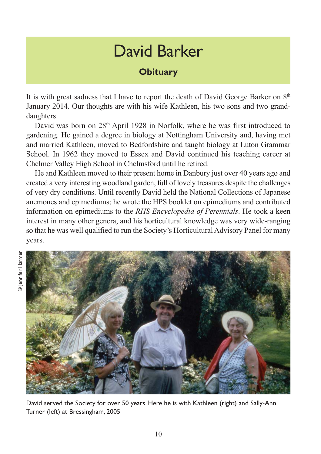## David Barker

## **Obituary**

It is with great sadness that I have to report the death of David George Barker on 8<sup>th</sup> January 2014. Our thoughts are with his wife Kathleen, his two sons and two granddaughters.

David was born on 28<sup>th</sup> April 1928 in Norfolk, where he was first introduced to gardening. He gained a degree in biology at Nottingham University and, having met and married Kathleen, moved to Bedfordshire and taught biology at Luton Grammar School. In 1962 they moved to Essex and David continued his teaching career at Chelmer Valley High School in Chelmsford until he retired.

He and Kathleen moved to their present home in Danbury just over 40 years ago and created a very interesting woodland garden, full of lovely treasures despite the challenges of very dry conditions. Until recently David held the National Collections of Japanese anemones and epimediums; he wrote the HPS booklet on epimediums and contributed information on epimediums to the *RHS Encyclopedia of Perennials*. He took a keen interest in many other genera, and his horticultural knowledge was very wide-ranging so that he was well qualified to run the Society's Horticultural Advisory Panel for many years.



David served the Society for over 50 years. Here he is with Kathleen (right) and Sally-Ann Turner (left) at Bressingham, 2005